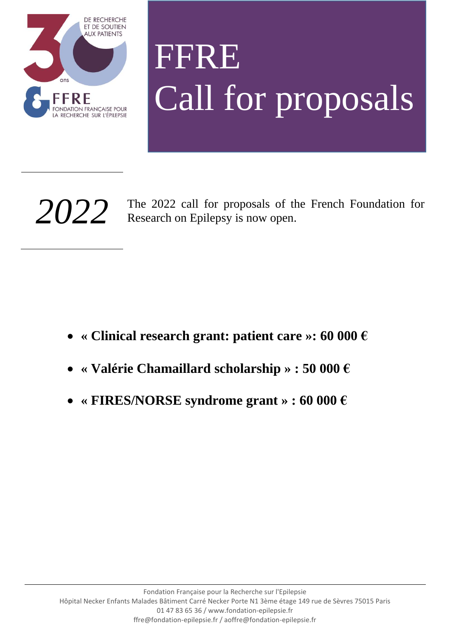

# FFRE Call for proposals

2022 The 2022 call for proposals of the French Foundation for Research on Epilepsy is now open. Research on Epilepsy is now open.

- **« Clinical research grant: patient care »: 60 000 €**
- **« Valérie Chamaillard scholarship » : 50 000 €**
- **« FIRES/NORSE syndrome grant » : 60 000 €**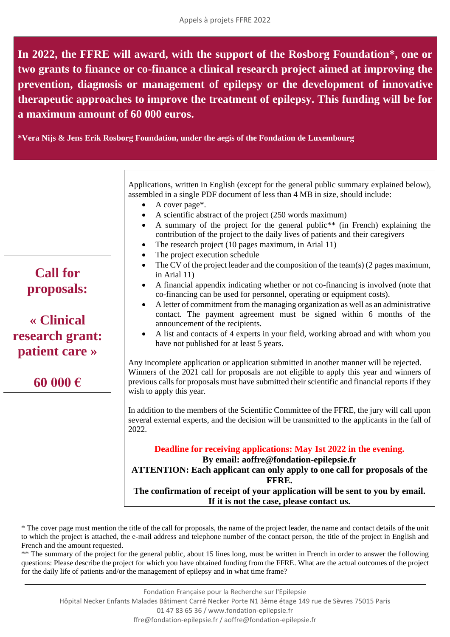**In 2022, the FFRE will award, with the support of the Rosborg Foundation\*, one or two grants to finance or co-finance a clinical research project aimed at improving the prevention, diagnosis or management of epilepsy or the development of innovative therapeutic approaches to improve the treatment of epilepsy. This funding will be for a maximum amount of 60 000 euros.**

**\*Vera Nijs & Jens Erik Rosborg Foundation, under the aegis of the Fondation de Luxembourg**

Applications, written in English (except for the general public summary explained below), assembled in a single PDF document of less than 4 MB in size, should include:

- A cover page\*.
- A scientific abstract of the project (250 words maximum)
- A summary of the project for the general public\*\* (in French) explaining the contribution of the project to the daily lives of patients and their caregivers
- The research project (10 pages maximum, in Arial 11)
- The project execution schedule
- The CV of the project leader and the composition of the team(s) (2 pages maximum, in Arial 11)
- A financial appendix indicating whether or not co-financing is involved (note that co-financing can be used for personnel, operating or equipment costs).
- A letter of commitment from the managing organization as well as an administrative contact. The payment agreement must be signed within 6 months of the announcement of the recipients.
- A list and contacts of 4 experts in your field, working abroad and with whom you have not published for at least 5 years.

Any incomplete application or application submitted in another manner will be rejected. Winners of the 2021 call for proposals are not eligible to apply this year and winners of previous calls for proposals must have submitted their scientific and financial reports if they wish to apply this year.

In addition to the members of the Scientific Committee of the FFRE, the jury will call upon several external experts, and the decision will be transmitted to the applicants in the fall of 2022.

**Deadline for receiving applications: May 1st 2022 in the evening. By email: aoffre@fondation-epilepsie.fr ATTENTION: Each applicant can only apply to one call for proposals of the FFRE. The confirmation of receipt of your application will be sent to you by email. If it is not the case, please contact us.**

\* The cover page must mention the title of the call for proposals, the name of the project leader, the name and contact details of the unit to which the project is attached, the e-mail address and telephone number of the contact person, the title of the project in English and French and the amount requested.

\*\* The summary of the project for the general public, about 15 lines long, must be written in French in order to answer the following questions: Please describe the project for which you have obtained funding from the FFRE. What are the actual outcomes of the project for the daily life of patients and/or the management of epilepsy and in what time frame?

## **Call for proposals:**

#### **« Clinical research grant: patient care »**

### **60 000 €**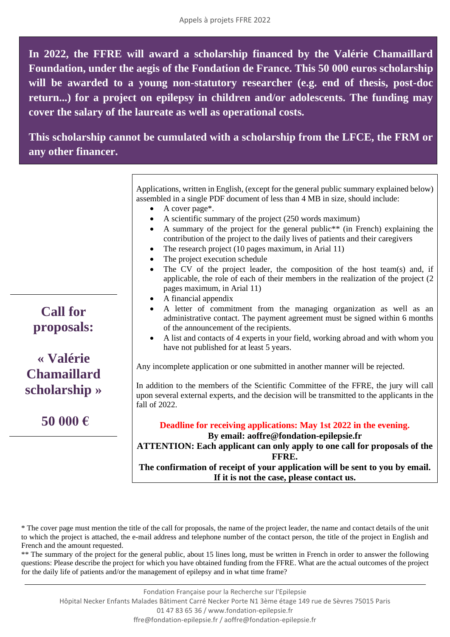**In 2022, the FFRE will award a scholarship financed by the Valérie Chamaillard Foundation, under the aegis of the Fondation de France. This 50 000 euros scholarship will be awarded to a young non-statutory researcher (e.g. end of thesis, post-doc return...) for a project on epilepsy in children and/or adolescents. The funding may cover the salary of the laureate as well as operational costs.**

**This scholarship cannot be cumulated with a scholarship from the LFCE, the FRM or any other financer.**

> Applications, written in English, (except for the general public summary explained below) assembled in a single PDF document of less than 4 MB in size, should include:

- A cover page\*.
- A scientific summary of the project (250 words maximum)
- A summary of the project for the general public\*\* (in French) explaining the contribution of the project to the daily lives of patients and their caregivers
- The research project (10 pages maximum, in Arial 11)
- The project execution schedule
- The CV of the project leader, the composition of the host team(s) and, if applicable, the role of each of their members in the realization of the project (2 pages maximum, in Arial 11)
- A financial appendix
- A letter of commitment from the managing organization as well as an administrative contact. The payment agreement must be signed within 6 months of the announcement of the recipients.
- A list and contacts of 4 experts in your field, working abroad and with whom you have not published for at least 5 years.

Any incomplete application or one submitted in another manner will be rejected.

In addition to the members of the Scientific Committee of the FFRE, the jury will call upon several external experts, and the decision will be transmitted to the applicants in the fall of 2022.

**Deadline for receiving applications: May 1st 2022 in the evening.**

**By email: aoffre@fondation-epilepsie.fr**

**ATTENTION: Each applicant can only apply to one call for proposals of the FFRE.**

**The confirmation of receipt of your application will be sent to you by email. If it is not the case, please contact us.**

\*\* The summary of the project for the general public, about 15 lines long, must be written in French in order to answer the following questions: Please describe the project for which you have obtained funding from the FFRE. What are the actual outcomes of the project for the daily life of patients and/or the management of epilepsy and in what time frame?

**Call for proposals:**

#### **« Valérie Chamaillard scholarship »**

**50 000 €**

<sup>\*</sup> The cover page must mention the title of the call for proposals, the name of the project leader, the name and contact details of the unit to which the project is attached, the e-mail address and telephone number of the contact person, the title of the project in English and French and the amount requested.